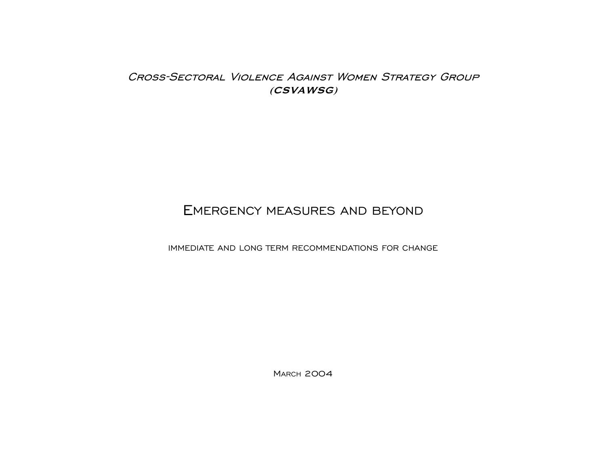# CROSS-SECTORAL VIOLENCE AGAINST WOMEN STRATEGY GROUP  $(CSVA WSG)$

# EMERGENCY MEASURES AND BEYOND

IMMEDIATE AND LONG TERM RECOMMENDATIONS FOR CHANGE

**MARCH 2004**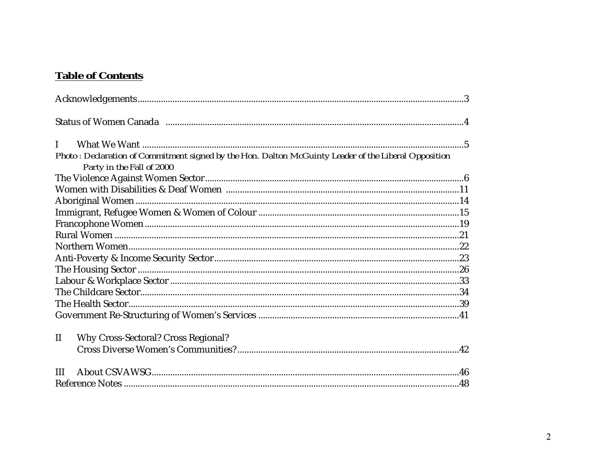# **Table of Contents**

| $\mathbf{I}$<br>Photo: Declaration of Commitment signed by the Hon. Dalton McGuinty Leader of the Liberal Opposition |  |
|----------------------------------------------------------------------------------------------------------------------|--|
| Party in the Fall of 2000                                                                                            |  |
|                                                                                                                      |  |
|                                                                                                                      |  |
|                                                                                                                      |  |
|                                                                                                                      |  |
|                                                                                                                      |  |
|                                                                                                                      |  |
|                                                                                                                      |  |
|                                                                                                                      |  |
|                                                                                                                      |  |
|                                                                                                                      |  |
|                                                                                                                      |  |
|                                                                                                                      |  |
|                                                                                                                      |  |
| <b>Why Cross-Sectoral? Cross Regional?</b><br>$\mathbf{I}$                                                           |  |
| III                                                                                                                  |  |
|                                                                                                                      |  |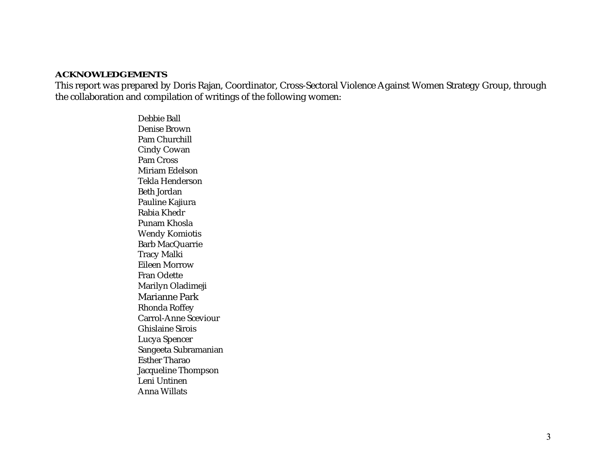#### **ACKNOWLEDGEMENTS**

This report was prepared by Doris Rajan, Coordinator, Cross-Sectoral Violence Against Women Strategy Group, through the collaboration and compilation of writings of the following women:

> Debbie BallDenise BrownPam ChurchillCindy Cowan Pam CrossMiriam EdelsonTekla Henderson Beth JordanPauline Kajiura Rabia KhedrPunam KhoslaWendy Komiotis Barb MacQuarrie Tracy Malki Eileen MorrowFran OdetteMarilyn Oladimeji Marianne ParkRhonda Roffey Carrol-Anne Sceviour Ghislaine SiroisLucya Spencer Sangeeta Subramanian Esther TharaoJacqueline Thompson Leni UntinenAnna Willats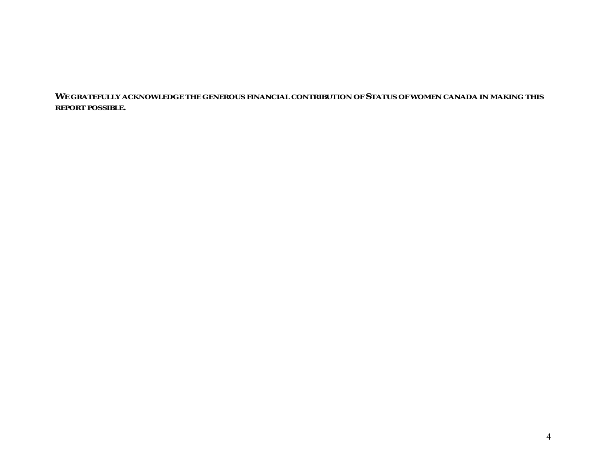**WE GRATEFULLY ACKNOWLEDGE THE GENEROUS FINANCIAL CONTRIBUTION OF STATUS OF WOMEN CANADA IN MAKING THIS REPORT POSSIBLE.**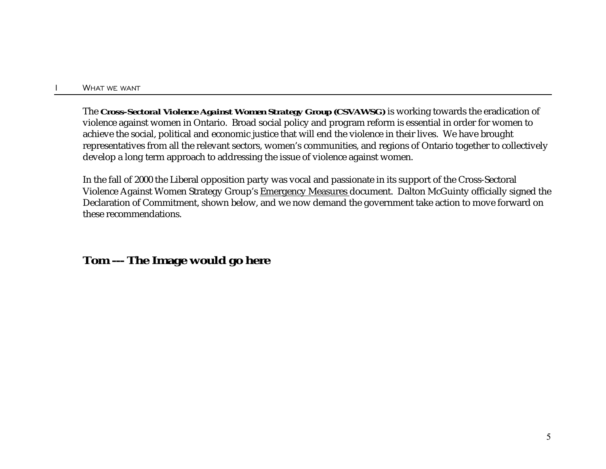The *Cross-Sectoral Violence Against Women Strategy Group (CSVAWSG)* is working towards the eradication of violence against women in Ontario. Broad social policy and program reform is essential in order for women to achieve the social, political and economic justice that will end the violence in their lives. We have brought representatives from all the relevant sectors, women's communities, and regions of Ontario together to collectively develop a long term approach to addressing the issue of violence against women.

In the fall of 2000 the Liberal opposition party was vocal and passionate in its support of the Cross-Sectoral Violence Against Women Strategy Group's Emergency Measures document. Dalton McGuinty officially signed the Declaration of Commitment, shown below, and we now demand the government take action to move forward on these recommendations.

**Tom --- The Image would go here**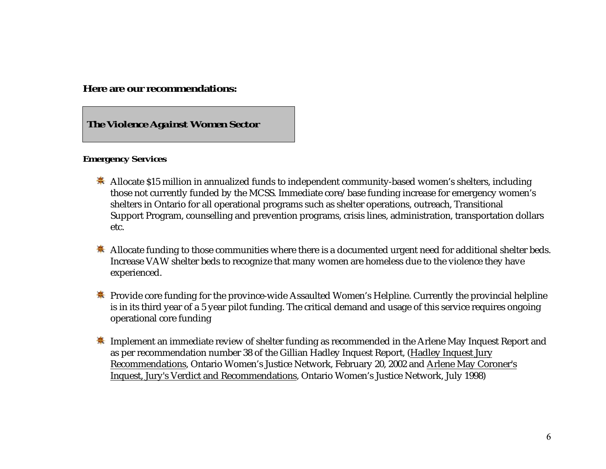**Here are our recommendations:**

*The Violence Against Women Sector*

#### **Emergency Services**

- **\*** Allocate \$15 million in annualized funds to independent community-based women's shelters, including those not currently funded by the MCSS. Immediate core/base funding increase for emergency women's shelters in Ontario for all operational programs such as shelter operations, outreach, Transitional Support Program, counselling and prevention programs, crisis lines, administration, transportation dollars etc.
- Allocate funding to those communities where there is a documented urgent need for additional shelter beds. Increase VAW shelter beds to recognize that many women are homeless due to the violence they have experienced.
- $\clubsuit$  Provide core funding for the province-wide Assaulted Women's Helpline. Currently the provincial helpline is in its third year of a 5 year pilot funding. The critical demand and usage of this service requires ongoing operational core funding
- $\ddot{\ast}$  Implement an immediate review of shelter funding as recommended in the Arlene May Inquest Report and as per recommendation number 38 of the Gillian Hadley Inquest Report, (Hadley Inquest Jury Recommendations, Ontario Women's Justice Network, February 20, 2002 and Arlene May Coroner's Inquest, Jury's Verdict and Recommendations, Ontario Women's Justice Network, July 1998)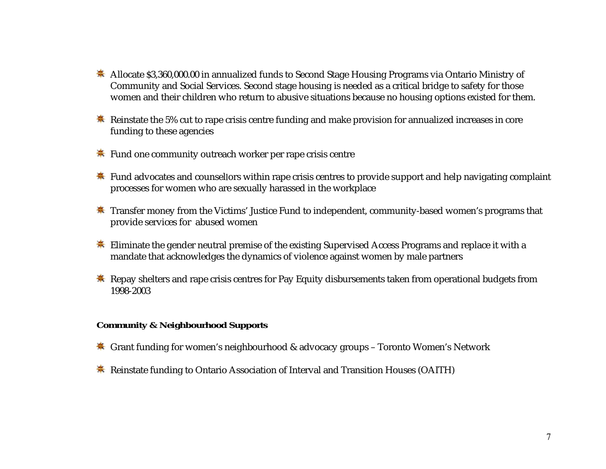- Allocate \$3,360,000.00 in annualized funds to Second Stage Housing Programs via Ontario Ministry of Community and Social Services. Second stage housing is needed as a critical bridge to safety for those women and their children who return to abusive situations because no housing options existed for them.
- **EXECUTE:** Reinstate the 5% cut to rape crisis centre funding and make provision for annualized increases in core funding to these agencies
- Fund one community outreach worker per rape crisis centre
- Fund advocates and counsellors within rape crisis centres to provide support and help navigating complaint processes for women who are sexually harassed in the workplace
- $*$  Transfer money from the Victims' Justice Fund to independent, community-based women's programs that provide services for abused women
- $\ddot{\ast}$  Eliminate the gender neutral premise of the existing Supervised Access Programs and replace it with a mandate that acknowledges the dynamics of violence against women by male partners
- **养** Repay shelters and rape crisis centres for Pay Equity disbursements taken from operational budgets from 1998-2003

#### **Community & Neighbourhood Supports**

- $\ddot{\mathbf{\ast}}$  Grant funding for women's neighbourhood & advocacy groups Toronto Women's Network
- **Reinstate funding to Ontario Association of Interval and Transition Houses (OAITH)**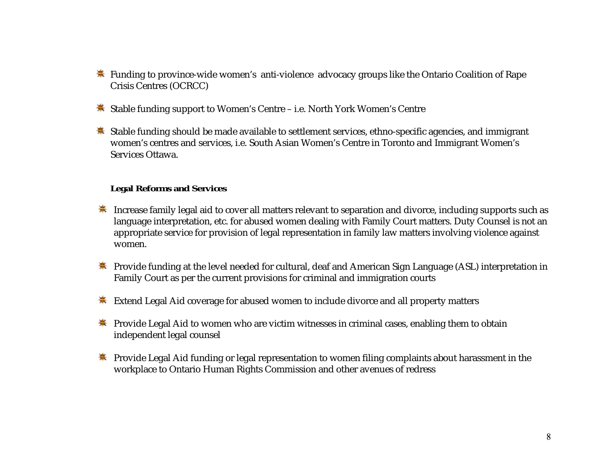- $\ddot{\ast}$  Funding to province-wide women's anti-violence advocacy groups like the Ontario Coalition of Rape Crisis Centres (OCRCC)
- Stable funding support to Women's Centre i.e. North York Women's Centre
- Stable funding should be made available to settlement services, ethno-specific agencies, and immigrant women 's centres and services, i.e. South Asian Women's Centre in Toronto and Immigrant Women's Services Ottawa.

#### **Legal Reforms and Services**

- **EXTED** Increase family legal aid to cover all matters relevant to separation and divorce, including supports such as language interpretation, etc. for abused women dealing with Family Court matters. Duty Counsel is not an appropriate service for provision of legal representation in family law matters involving violence against women.
- **EX** Provide funding at the level needed for cultural, deaf and American Sign Language (ASL) interpretation in Family Court as per the current provisions for criminal and immigration courts
- **Extend Legal Aid coverage for abused women to include divorce and all property matters**
- **\*** Provide Legal Aid to women who are victim witnesses in criminal cases, enabling them to obtain independent legal counsel
- **\*** Provide Legal Aid funding or legal representation to women filing complaints about harassment in the workplace to Ontario Human Rights Commission and other avenues of redress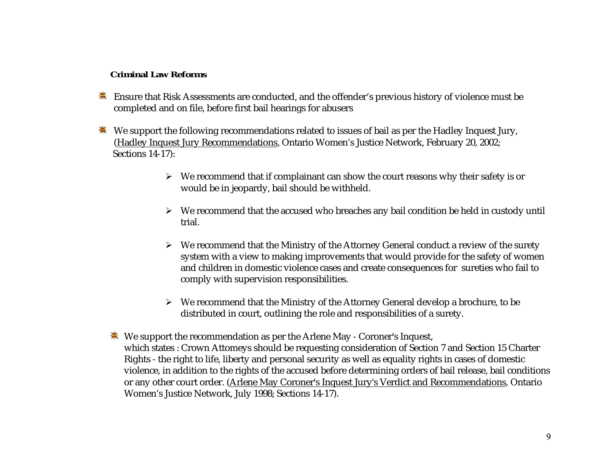### **Criminal Law Reforms**

- **Ensure that Risk Assessments are conducted, and the offender's previous history of violence must be** completed and on file, before first bail hearings for abusers
- We support the following recommendations related to issues of bail as per the Hadley Inquest Jury, (Hadley Inquest Jury Recommendations, Ontario Women's Justice Network, February 20, 2002; Sections 14-17):
	- $\triangleright$  We recommend that if complainant can show the court reasons why their safety is or would be in jeopardy, bail should be withheld.
	- $\triangleright$  We recommend that the accused who breaches any bail condition be held in custody until trial.
	- $\triangleright$   $\;$  We recommend that the Ministry of the Attorney General conduct a review of the surety system with a view to making improvements that would provide for the safety of women and children in domestic violence cases and create consequences for sureties who fail to comply with supervision responsibilities.
	- We recommend that the Ministry of the Attorney General develop a brochure, to be distributed in court, outlining the role and responsibilities of a surety.
	- $\ddot{\mathbf{\ast}}$  We support the recommendation as per the Arlene May Coroner's Inquest, which states : Crown Attomeys should be requesting consideration of Section 7 and Section 15 Charter Rights - the right to life, liberty and personal security as well as equality rights in cases of domestic violence, in addition to the rights of the accused before determining orders of bail release, bail conditions or any other court order. (Arlene May Coroner's Inquest Jury's Verdict and Recommendations, Ontario Women's Justice Network, July 1998; Sections 14-17).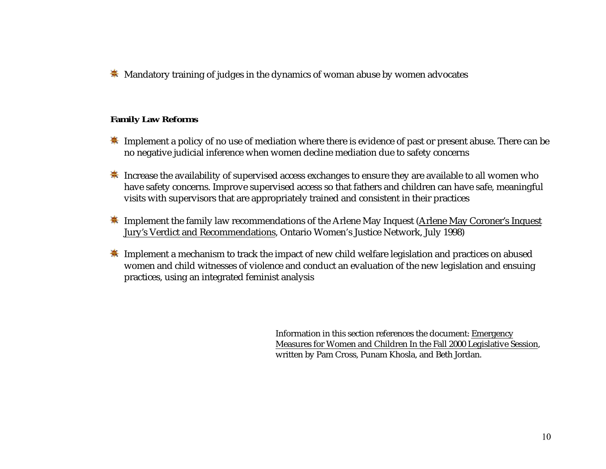**K** Mandatory training of judges in the dynamics of woman abuse by women advocates

### **Family Law Reforms**

- **K** Implement a policy of no use of mediation where there is evidence of past or present abuse. There can be no negative judicial inference when women decline mediation due to safety concerns
- $\ddot{\textbf{*}}$  Increase the availability of supervised access exchanges to ensure they are available to all women who have safety concerns. Improve supervised access so that fathers and children can have safe, meaningful visits with supervisors that are appropriately trained and consistent in their practices
- **K** Implement the family law recommendations of the Arlene May Inquest (Arlene May Coroner's Inquest Jury's Verdict and Recommendations, Ontario Women's Justice Network, July 1998)
- **EXTED** Implement a mechanism to track the impact of new child welfare legislation and practices on abused women and child witnesses of violence and conduct an evaluation of the new legislation and ensuing practices, using an integrated feminist analysis

Information in this section references the document: Emergency Measures for Women and Children In the Fall 2000 Legislative Session, written by Pam Cross, Punam Khosla, and Beth Jordan.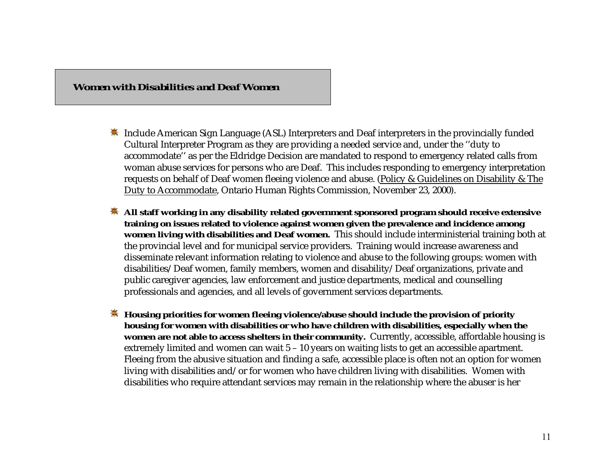### *Women with Disabilities and Deaf Women*

- **K** Include American Sign Language (ASL) Interpreters and Deaf interpreters in the provincially funded Cultural Interpreter Program as they are providing a needed service and, under the ''duty to accommodate'' as per the Eldridge Decision are mandated to respond to emergency related calls from woman abuse services for persons who are Deaf. This includes responding to emergency interpretation requests on behalf of Deaf women fleeing violence and abuse. (Policy & Guidelines on Disability & The Duty to Accommodate, Ontario Human Rights Commission, November 23, 2000).
- **All staff working in any disability related government sponsored program should receive extensive training on issues related to violence against women given the prevalence and incidence among women living with disabilities and Deaf women.** This should include interministerial training both at the provincial level and for municipal service providers. Training would increase awareness and disseminate relevant information relating to violence and abuse to the following groups: women with disabilities/Deaf women, family members, women and disability/Deaf organizations, private and public caregiver agencies, law enforcement and justice departments, medical and counselling professionals and agencies, and all levels of government services departments.
- $\ddot{\mathbf{\ast}}$  Housing priorities for women fleeing violence/abuse should include the provision of priority **housing for women with disabilities or who have children with disabilities, especially when the women are not able to access shelters in their community.** Currently, accessible, affordable housing is extremely limited and women can wait 5 – 10 years on waiting lists to get an accessible apartment. Fleeing from the abusive situation and finding a safe, accessible place is often not an option for women living with disabilities and/or for women who have children living with disabilities. Women with disabilities who require attendant services may remain in the relationship where the abuser is her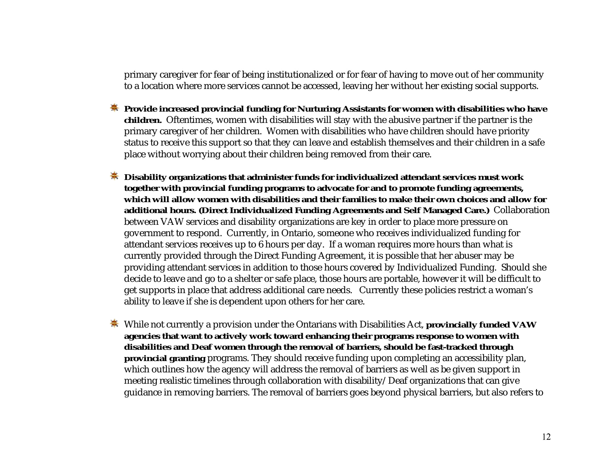primary caregiver for fear of being institutionalized or for fear of having to move out of her community to a location where more services cannot be accessed, leaving her without her existing social supports.

- **EXECUTE:** Provide increased provincial funding for Nurturing Assistants for women with disabilities who have **children.** Oftentimes, women with disabilities will stay with the abusive partner if the partner is the primary caregiver of her children. Women with disabilities who have children should have priority status to receive this support so that they can leave and establish themselves and their children in a safe place without worrying about their children being removed from their care.
- **Disability organizations that administer funds for individualized attendant services must work together with provincial funding programs to advocate for and to promote funding agreements, which will allow women with disabilities and their families to make their own choices and allow foradditional hours. (Direct Individualized Funding Agreements and Self Managed Care.)** Collaboration between VAW services and disability organizations are key in order to place more pressure on government to respond. Currently, in Ontario, someone who receives individualized funding for attendant services receives up to 6 hours per day. If a woman requires more hours than what is currently provided through the Direct Funding Agreement, it is possible that her abuser may be providing attendant services in addition to those hours covered by Individualized Funding. Should she decide to leave and go to a shelter or safe place, those hours are portable, however it will be difficult to get supports in place that address additional care needs. Currently these policies restrict a woman's ability to leave if she is dependent upon others for her care.
- While not currently a provision under the Ontarians with Disabilities Act, **provincially funded VAW agencies that want to actively work toward enhancing their programs response to women with disabilities and Deaf women through the removal of barriers, should be fast-tracked through provincial granting** programs. They should receive funding upon completing an accessibility plan, which outlines how the agency will address the removal of barriers as well as be given support in meeting realistic timelines through collaboration with disability/Deaf organizations that can give guidance in removing barriers. The removal of barriers goes beyond physical barriers, but also refers to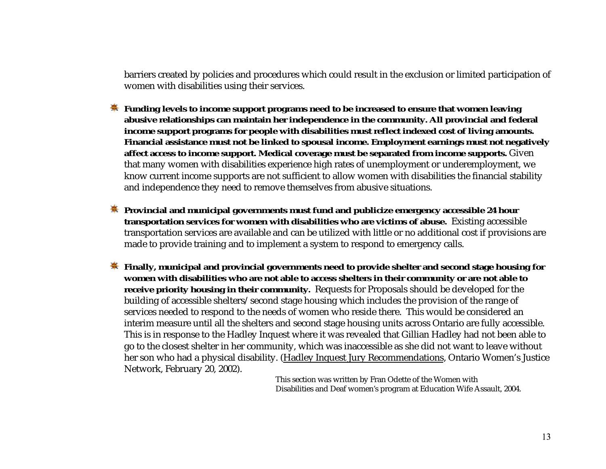barriers created by policies and procedures which could result in the exclusion or limited participation of women with disabilities using their services.

- **Funding levels to income support programs need to be increased to ensure that women leaving abusive relationships can maintain her independence in the community. All provincial and federal income support programs for people with disabilities must reflect indexed cost of living amounts. Financial assistance must not be linked to spousal income. Employment earnings must not negatively affect access to income support. Medical coverage must be separated from income supports.** Given that many women with disabilities experience high rates of unemployment or underemployment, we know current income supports are not sufficient to allow women with disabilities the financial stability and independence they need to remove themselves from abusive situations.
- **EX** Provincial and municipal governments must fund and publicize emergency accessible 24 hour **transportation services for women with disabilities who are victims of abuse.** Existing accessible transportation services are available and can be utilized with little or no additional cost if provisions are made to provide training and to implement a system to respond to emergency calls.
- **Finally, municipal and provincial governments need to provide shelter and second stage housing for women with disabilities who are not able to access shelters in their community or are not able to receive priority housing in their community.** Requests for Proposals should be developed for the building of accessible shelters/second stage housing which includes the provision of the range of services needed to respond to the needs of women who reside there. This would be considered an interim measure until all the shelters and second stage housing units across Ontario are fully accessible. This is in response to the Hadley Inquest where it was revealed that Gillian Hadley had not been able to go to the closest shelter in her community, which was inaccessible as she did not want to leave without her son who had a physical disability. (Hadley Inquest Jury Recommendations, Ontario Women's Justice Network, February 20, 2002).

This section was written by Fran Odette of the Women with Disabilities and Deaf women's program at Education Wife Assault, 2004.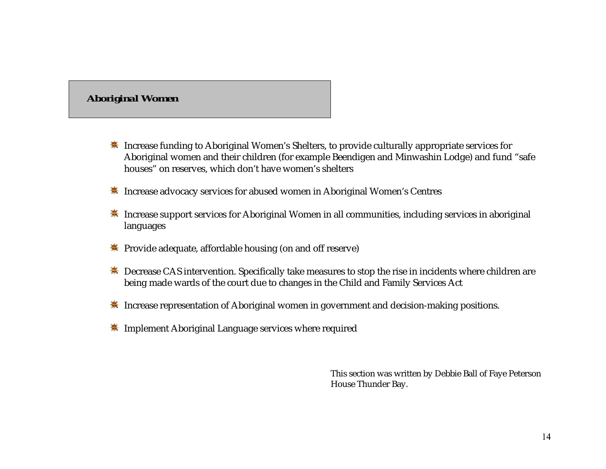## *Aboriginal Women*

- <del>≢</del> Increase funding to Aboriginal Women's Shelters, to provide culturally appropriate services for Aboriginal women and their children (for example Beendigen and Minwashin Lodge) and fund "safe houses" on reserves, which don't have women's shelters
- **K** Increase advocacy services for abused women in Aboriginal Women's Centres
- **K** Increase support services for Aboriginal Women in all communities, including services in aboriginal languages
- Frovide adequate, affordable housing (on and off reserve)
- $\frac{*}{*}$  Decrease CAS intervention. Specifically take measures to stop the rise in incidents where children are being made wards of the court due to changes in the Child and Family Services Act
- $\frac{\textbf{*}}{\textbf{*}}$  Increase representation of Aboriginal women in government and decision-making positions.
- **K** Implement Aboriginal Language services where required

This section was written by Debbie Ball of Faye Peterson House Thunder Bay.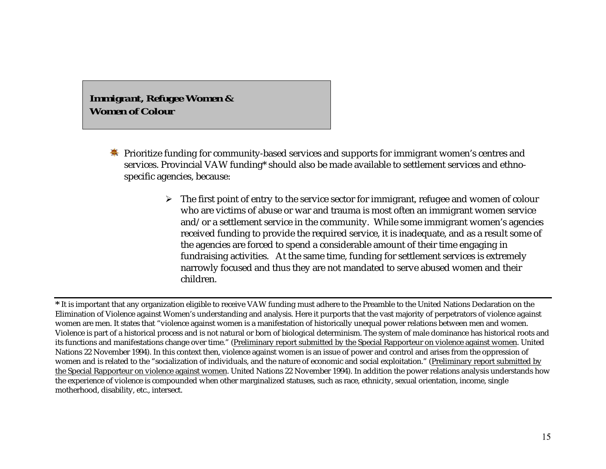*Immigrant, Refugee Women & Women of Colour*

- **EX** Prioritize funding for community-based services and supports for immigrant women's centres and services. Provincial VAW funding\* should also be made available to settlement services and ethnospecific agencies, because:
	- $\triangleright$   $\;$  The first point of entry to the service sector for immigrant, refugee and women of colour who are victims of abuse or war and trauma is most often an immigrant women service and/or a settlement service in the community. While some immigrant women's agencies received funding to provide the required service, it is inadequate, and as a result some of the agencies are forced to spend a considerable amount of their time engaging in fundraising activities. At the same time, funding for settlement services is extremely narrowly focused and thus they are not mandated to serve abused women and their children.

**<sup>\*</sup>** It is important that any organization eligible to receive VAW funding must adhere to the Preamble to the United Nations Declaration on the Elimination of Violence against Women's understanding and analysis. Here it purports that the vast majority of perpetrators of violence against women are men. It states that "violence against women is a manifestation of historically unequal power relations between men and women. Violence is part of a historical process and is not natural or born of biological determinism. The system of male dominance has historical roots and its functions and manifestations change over time." (Preliminary report submitted by the Special Rapporteur on violence against women. United Nations 22 November 1994). In this context then, violence against women is an issue of power and control and arises from the oppression of women and is related to the "socialization of individuals, and the nature of economic and social exploitation." (Preliminary report submitted by the Special Rapporteur on violence against women. United Nations 22 November 1994). In addition the power relations analysis understands how the experience of violence is compounded when other marginalized statuses, such as race, ethnicity, sexual orientation, income, single motherhood, disability, etc., intersect.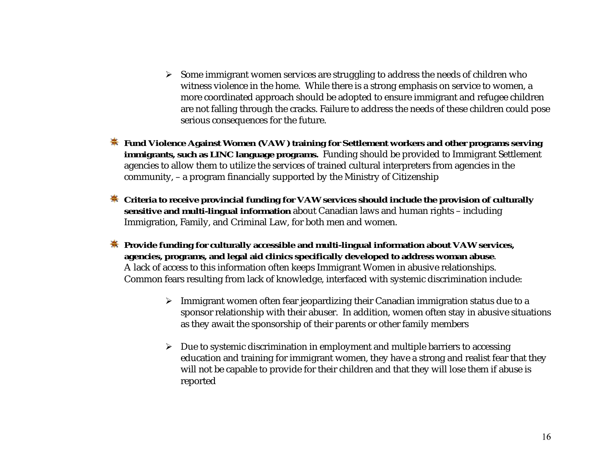- $\triangleright$  Some immigrant women services are struggling to address the needs of children who witness violence in the home. While there is a strong emphasis on service to women, a more coordinated approach should be adopted to ensure immigrant and refugee children are not falling through the cracks. Failure to address the needs of these children could pose serious consequences for the future.
- **Fund Violence Against Women (VAW ) training for Settlement workers and other programs serving immigrants, such as LINC language programs.** Funding should be provided to Immigrant Settlement agencies to allow them to utilize the services of trained cultural interpreters from agencies in the community, – a program financially supported by the Ministry of Citizenship
- **EXECTE ACTE ACTES 2015 THE Criteria to receive provincial funding for VAW services should include the provision of culturally sensitive and multi-lingual information** about Canadian laws and human rights – including Immigration, Family, and Criminal Law, for both men and women.
- **EXECUTE:** Provide funding for culturally accessible and multi-lingual information about VAW services,  **agencies, programs, and legal aid clinics specifically developed to address woman abuse**. A lack of access to this information often keeps Immigrant Women in abusive relationships. Common fears resulting from lack of knowledge, interfaced with systemic discrimination include:
	- Immigrant women often fear jeopardizing their Canadian immigration status due to a sponsor relationship with their abuser. In addition, women often stay in abusive situations as they await the sponsorship of their parents or other family members
	- Due to systemic discrimination in employment and multiple barriers to accessing education and training for immigrant women, they have a strong and realist fear that they will not be capable to provide for their children and that they will lose them if abuse is reported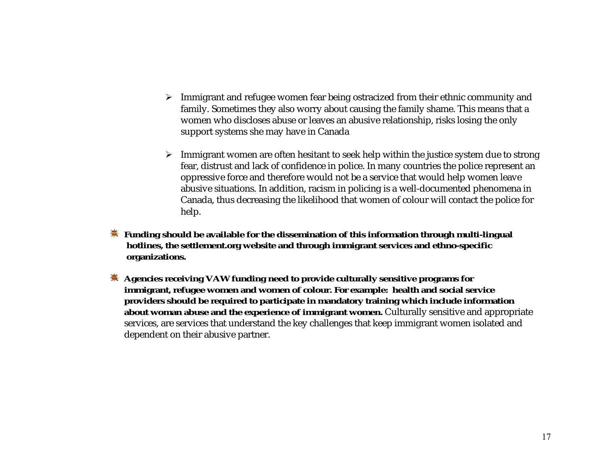- $\blacktriangleright$   $\;$  Immigrant and refugee women fear being ostracized from their ethnic community and family. Sometimes they also worry about causing the family shame. This means that a women who discloses abuse or leaves an abusive relationship, risks losing the only support systems she may have in Canada
- $\triangleright$   $\;$  Immigrant women are often hesitant to seek help within the justice system due to strong fear, distrust and lack of confidence in police. In many countries the police represent an oppressive force and therefore would not be a service that would help women leave abusive situations. In addition, racism in policing is a well-documented phenomena in Canada, thus decreasing the likelihood that women of colour will contact the police for help.
- **Funding should be available for the dissemination of this information through multi-lingual hotlines, the settlement.org website and through immigrant services and ethno-specific organizations.**
- **Agencies receiving VAW funding need to provide culturally sensitive programs for immigrant, refugee women and women of colour. For example: health and social service providers should be required to participate in mandatory training which include information about woman abuse and the experience of immigrant women.** Culturally sensitive and appropriate services, are services that understand the key challenges that keep immigrant women isolated and dependent on their abusive partner.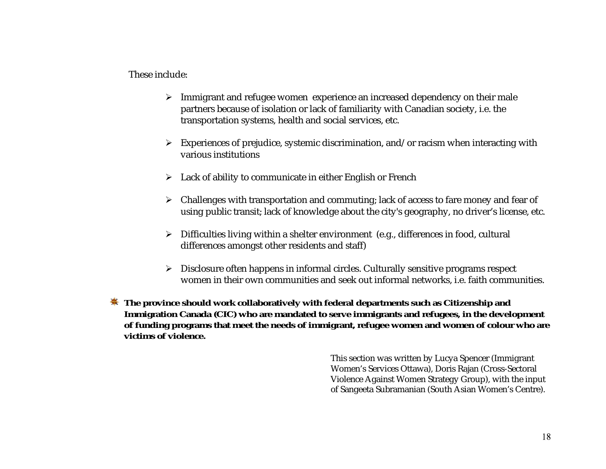These include:

- $\triangleright$  Immigrant and refugee women experience an increased dependency on their male partners because of isolation or lack of familiarity with Canadian society, i.e. the transportation systems, health and social services, etc.
- $\blacktriangleright$   $\;$  Experiences of prejudice, systemic discrimination, and/or racism when interacting with various institutions
- Lack of ability to communicate in either English or French
- Challenges with transportation and commuting; lack of access to fare money and fear of using public transit; lack of knowledge about the city's geography, no driver's license, etc.
- Difficulties living within a shelter environment (e.g., differences in food, cultural differences amongst other residents and staff)
- Disclosure often happens in informal circles. Culturally sensitive programs respect women in their own communities and seek out informal networks, i.e. faith communities.
- $\dagger$  **The province should work collaboratively with federal departments such as Citizenship and Immigration Canada (CIC) who are mandated to serve immigrants and refugees, in the development of funding programs that meet the needs of immigrant, refugee women and women of colour who are victims of violence.**

This section was written by Lucya Spencer (Immigrant Women's Services Ottawa), Doris Rajan (Cross-Sectoral Violence Against Women Strategy Group), with the input of Sangeeta Subramanian (South Asian Women's Centre).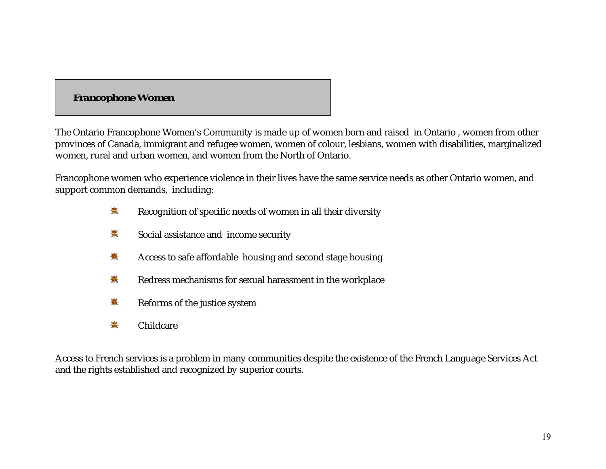# *Francophone Women*

The Ontario Francophone Women's Community is made up of women born and raised in Ontario , women from other provinces of Canada, immigrant and refugee women, women of colour, lesbians, women with disabilities, marginalized women, rural and urban women, and women from the North of Ontario.

Francophone women who experience violence in their lives have the same service needs as other Ontario women, and support common demands, including:

- 美 Recognition of specific needs of women in all their diversity
- ₩. Social assistance and income security
- ₩. Access to safe affordable housing and second stage housing
- 美 Redress mechanisms for sexual harassment in the workplace
- ♣ Reforms of the justice system
- ☀ Childcare

Access to French services is a problem in many communities despite the existence of the French Language Services Act and the rights established and recognized by superior courts.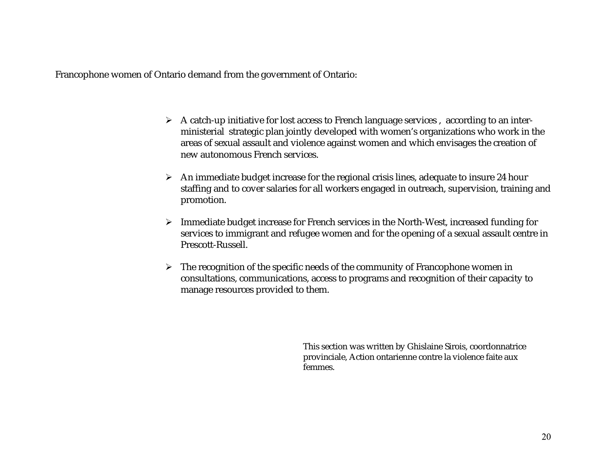Francophone women of Ontario demand from the government of Ontario:

- $\triangleright$   $\;$  A catch-up initiative for lost access to French language services ,  $\;$  according to an interministerial strategic plan jointly developed with women's organizations who work in the areas of sexual assault and violence against women and which envisages the creation of new autonomous French services.
- $\triangleright$   $\;$  An immediate budget increase for the regional crisis lines, adequate to insure 24 hour staffing and to cover salaries for all workers engaged in outreach, supervision, training and promotion.
- $\triangleright$  Immediate budget increase for French services in the North-West, increased funding for services to immigrant and refugee women and for the opening of a sexual assault centre in Prescott-Russell.
- $\triangleright$  The recognition of the specific needs of the community of Francophone women in consultations, communications, access to programs and recognition of their capacity to manage resources provided to them.

This section was written by Ghislaine Sirois, coordonnatrice provinciale, Action ontarienne contre la violence faite aux femmes.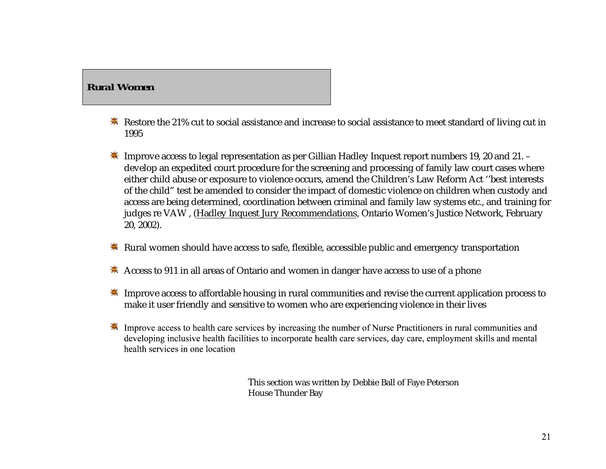## *Rural Women*

- **K** Restore the 21% cut to social assistance and increase to social assistance to meet standard of living cut in 1995
- $\ddot{\textbf{*}}$  Improve access to legal representation as per Gillian Hadley Inquest report numbers 19, 20 and 21. develop an expedited court procedure for the screening and processing of family law court cases where either child abuse or exposure to violence occurs, amend the Children's Law Reform Act ''best interests of the child" test be amended to consider the impact of domestic violence on children when custody and access are being determined, coordination between criminal and family law systems etc., and training for judges re VAW , (Hadley Inquest Jury Recommendations, Ontario Women's Justice Network, February 20, 2002).
- **\*** Rural women should have access to safe, flexible, accessible public and emergency transportation
- Access to 911 in all areas of Ontario and women in danger have access to use of a phone
- **K** Improve access to affordable housing in rural communities and revise the current application process to make it user friendly and sensitive to women who are experiencing violence in their lives
- <del>素</del> Improve access to health care services by increasing the number of Nurse Practitioners in rural communities and developing inclusive health facilities to incorporate health care services, day care, employment skills and mental health services in one location

This section was written by Debbie Ball of Faye Peterson House Thunder Bay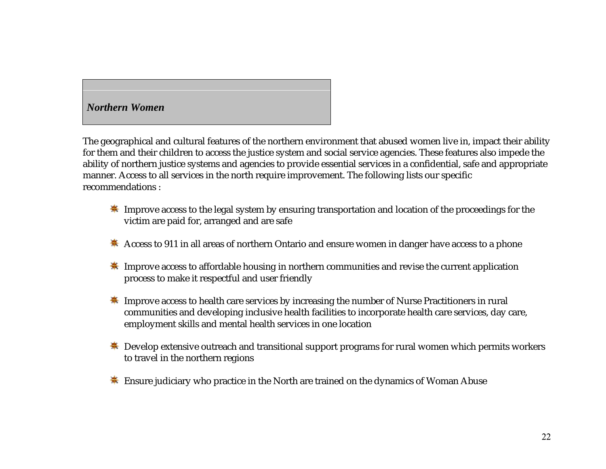### *Northern Women*

The geographical and cultural features of the northern environment that abused women live in, impact their ability for them and their children to access the justice system and social service agencies. These features also impede the ability of northern justice systems and agencies to provide essential services in a confidential, safe and appropriate manner. Access to all services in the north require improvement. The following lists our specific recommendations :

- Improve access to the legal system by ensuring transportation and location of the proceedings for the victim are paid for, arranged and are safe
- \* Access to 911 in all areas of northern Ontario and ensure women in danger have access to a phone
- **K** Improve access to affordable housing in northern communities and revise the current application process to make it respectful and user friendly
- **K** Improve access to health care services by increasing the number of Nurse Practitioners in rural communities and developing inclusive health facilities to incorporate health care services, day care, employment skills and mental health services in one location
- $\ddot{\textbf{*}}$  Develop extensive outreach and transitional support programs for rural women which permits workers to travel in the northern regions
- **SEXEL EXECUTE:** Ensure judiciary who practice in the North are trained on the dynamics of Woman Abuse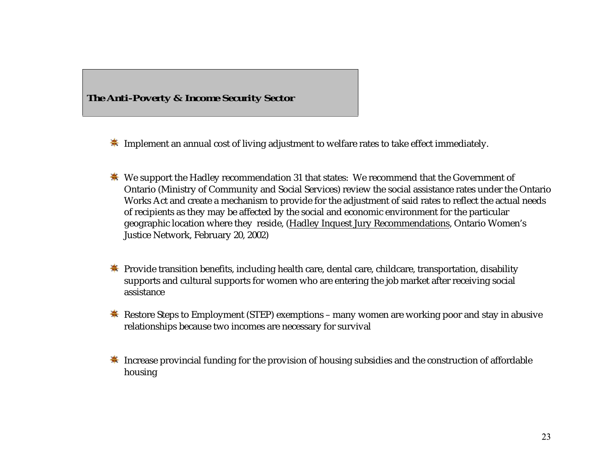

**K** Implement an annual cost of living adjustment to welfare rates to take effect immediately.

- We support the Hadley recommendation 31 that states: We recommend that the Government of Ontario (Ministry of Community and Social Services) review the social assistance rates under the Ontario Works Act and create a mechanism to provide for the adjustment of said rates to reflect the actual needs of recipients as they may be affected by the social and economic environment for the particular geographic location where they reside, (Hadley Inquest Jury Recommendations, Ontario Women's Justice Network, February 20, 2002)
- **\*** Provide transition benefits, including health care, dental care, childcare, transportation, disability supports and cultural supports for women who are entering the job market after receiving social assistance
- **K** Restore Steps to Employment (STEP) exemptions many women are working poor and stay in abusive relationships because two incomes are necessary for survival
- $\ddot{\textbf{*}}$  Increase provincial funding for the provision of housing subsidies and the construction of affordable housing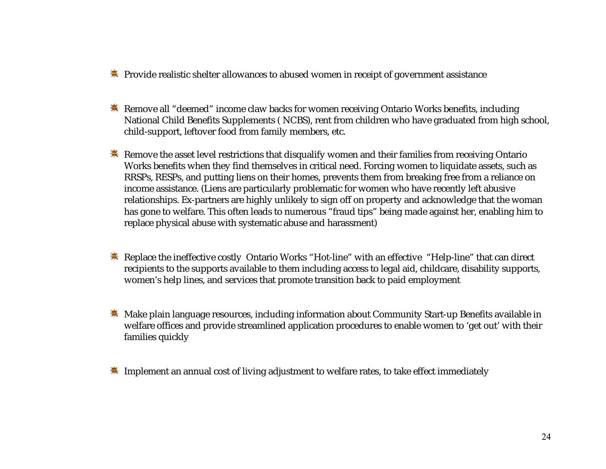- **EX** Provide realistic shelter allowances to abused women in receipt of government assistance
- **K** Remove all "deemed" income claw backs for women receiving Ontario Works benefits, including National Child Benefits Supplements ( NCBS), rent from children who have graduated from high school, child-support, leftover food from family members, etc.
- **K** Remove the asset level restrictions that disqualify women and their families from receiving Ontario Works benefits when they find themselves in critical need. Forcing women to liquidate assets, such as RRSPs, RESPs, and putting liens on their homes, prevents them from breaking free from a reliance on income assistance. (Liens are particularly problematic for women who have recently left abusive relationships. Ex-partners are highly unlikely to sign off on property and acknowledge that the woman has gone to welfare. This often leads to numerous "fraud tips" being made against her, enabling him to replace physical abuse with systematic abuse and harassment)
- **Some External A External A External A External A External A External A External A External A External A External A External A External A External A External A External A External A External A External A External A Extern** recipients to the supports available to them including access to legal aid, childcare, disability supports, women's help lines, and services that promote transition back to paid employment
- **\*** Make plain language resources, including information about Community Start-up Benefits available in welfare offices and provide streamlined application procedures to enable women to 'get out' with their families quickly
- **EXTED** Implement an annual cost of living adjustment to welfare rates, to take effect immediately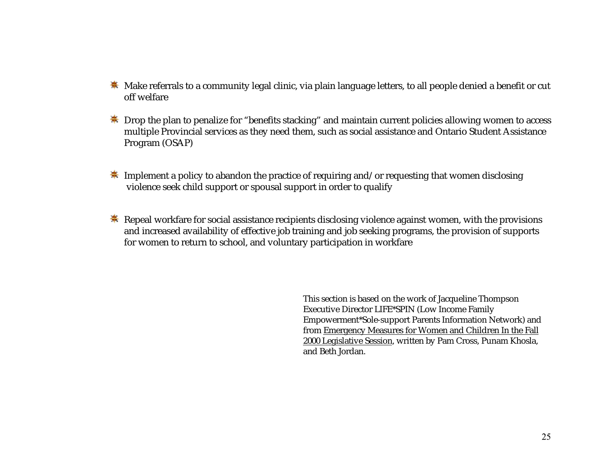- $\frac{*}{*}$  Make referrals to a community legal clinic, via plain language letters, to all people denied a benefit or cut off welfare
- **★** Drop the plan to penalize for "benefits stacking" and maintain current policies allowing women to access multiple Provincial services as they need them, such as social assistance and Ontario Student Assistance Program (OSAP)
- $\frac{1}{2}$  Implement a policy to abandon the practice of requiring and/or requesting that women disclosing violence seek child support or spousal support in order to qualify
- $\ddot{\textbf{*}}$  Repeal workfare for social assistance recipients disclosing violence against women, with the provisions and increased availability of effective job training and job seeking programs, the provision of supports for women to return to school, and voluntary participation in workfare

This section is based on the work of Jacqueline Thompson Executive Director LIFE\*SPIN (Low Income Family Empowerment\*Sole-support Parents Information Network) and from Emergency Measures for Women and Children In the Fall 2000 Legislative Session, written by Pam Cross, Punam Khosla, and Beth Jordan.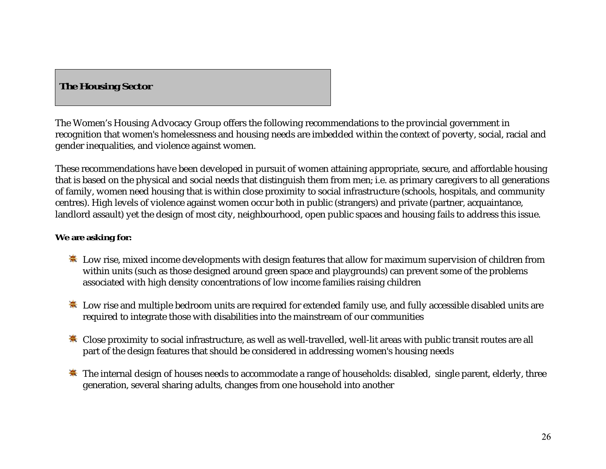# *The Housing Sector*

The Women's Housing Advocacy Group offers the following recommendations to the provincial government in recognition that women's homelessness and housing needs are imbedded within the context of poverty, social, racial and gender inequalities, and violence against women.

These recommendations have been developed in pursuit of women attaining appropriate, secure, and affordable housing that is based on the physical and social needs that distinguish them from men; i.e. as primary caregivers to all generations of family, women need housing that is within close proximity to social infrastructure (schools, hospitals, and community centres). High levels of violence against women occur both in public (strangers) and private (partner, acquaintance, landlord assault) yet the design of most city, neighbourhood, open public spaces and housing fails to address this issue.

### **We are asking for:**

- Low rise, mixed income developments with design features that allow for maximum supervision of children from within units (such as those designed around green space and playgrounds) can prevent some of the problems associated with high density concentrations of low income families raising children
- $\ddot{\ast}$  Low rise and multiple bedroom units are required for extended family use, and fully accessible disabled units are required to integrate those with disabilities into the mainstream of our communities
- **\*** Close proximity to social infrastructure, as well as well-travelled, well-lit areas with public transit routes are all part of the design features that should be considered in addressing women's housing needs
- $\ddot{\textbf{*}}$  The internal design of houses needs to accommodate a range of households: disabled, single parent, elderly, three generation, several sharing adults, changes from one household into another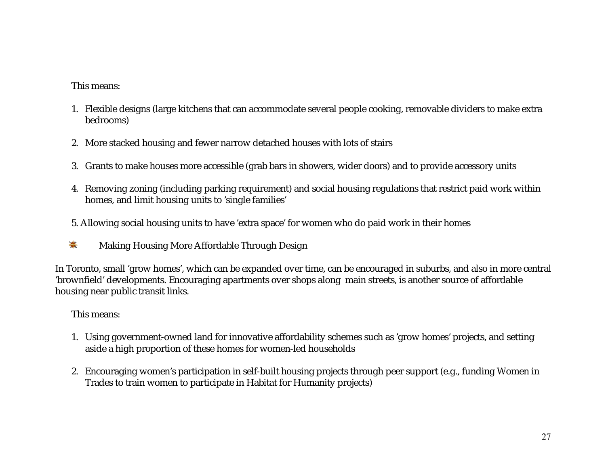### This means:

- 1. Flexible designs (large kitchens that can accommodate several people cooking, removable dividers to make extra bedrooms)
- 2. More stacked housing and fewer narrow detached houses with lots of stairs
- 3. Grants to make houses more accessible (grab bars in showers, wider doors) and to provide accessory units
- 4. Removing zoning (including parking requirement) and social housing regulations that restrict paid work within homes, and limit housing units to 'single families'
- 5. Allowing social housing units to have 'extra space' for women who do paid work in their homes
- $\clubsuit$ Making Housing More Affordable Through Design

In Toronto, small 'grow homes', which can be expanded over time, can be encouraged in suburbs, and also in more central 'brownfield' developments. Encouraging apartments over shops along main streets, is another source of affordable housing near public transit links.

### This means:

- 1. Using government-owned land for innovative affordability schemes such as 'grow homes' projects, and setting aside a high proportion of these homes for women-led households
- 2. Encouraging women's participation in self-built housing projects through peer support (e.g., funding Women in Trades to train women to participate in Habitat for Humanity projects)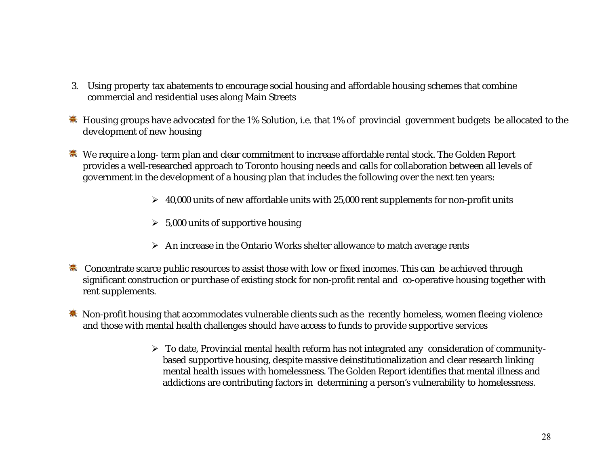- 3. Using property tax abatements to encourage social housing and affordable housing schemes that combine commercial and residential uses along Main Streets
- Housing groups have advocated for the 1% Solution, i.e. that 1% of provincial government budgets be allocated to the development of new housing
- **\*\*** We require a long- term plan and clear commitment to increase affordable rental stock. The Golden Report provides a well-researched approach to Toronto housing needs and calls for collaboration between all levels of government in the development of a housing plan that includes the following over the next ten years:
	- $\blacktriangleright$  -40,000 units of new affordable units with 25,000 rent supplements for non-profit units
	- $\triangleright$  5,000 units of supportive housing
	- $\triangleright$   $\;$  An increase in the Ontario Works shelter allowance to match average rents
- **SECONCERTIATE:** Concentrate scarce public resources to assist those with low or fixed incomes. This can be achieved through significant construction or purchase of existing stock for non-profit rental and co-operative housing together with rent supplements.
- $\ddot{•}$  Non-profit housing that accommodates vulnerable clients such as the recently homeless, women fleeing violence and those with mental health challenges should have access to funds to provide supportive services
	- $\blacktriangleright$  To date, Provincial mental health reform has not integrated any  $\,$  consideration of community-  $\,$ based supportive housing, despite massive deinstitutionalization and clear research linking mental health issues with homelessness. The Golden Report identifies that mental illness and addictions are contributing factors in determining a person's vulnerability to homelessness.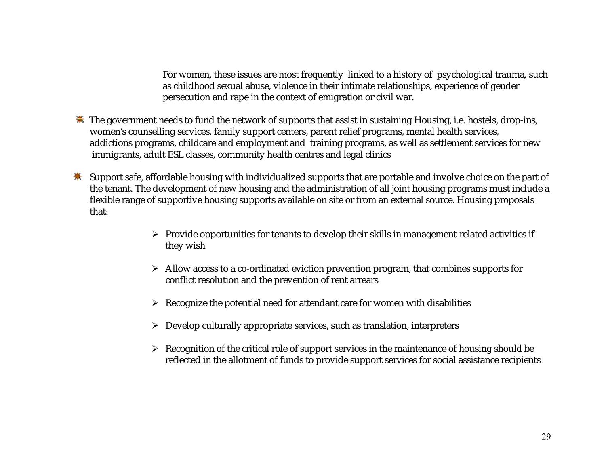For women, these issues are most frequently linked to a history of psychological trauma, such as childhood sexual abuse, violence in their intimate relationships, experience of gender persecution and rape in the context of emigration or civil war.

- $\frac{1}{2}$ . The government needs to fund the network of supports that assist in sustaining Housing, i.e. hostels, drop-ins, women's counselling services, family support centers, parent relief programs, mental health services, addictions programs, childcare and employment and training programs, as well as settlement services for new immigrants, adult ESL classes, community health centres and legal clinics
- Support safe, affordable housing with individualized supports that are portable and involve choice on the part of the tenant. The development of new housing and the administration of all joint housing programs must include a flexible range of supportive housing supports available on site or from an external source. Housing proposals that:
	- $\triangleright$  Provide opportunities for tenants to develop their skills in management-related activities if they wish
	- $\triangleright$  Allow access to a co-ordinated eviction prevention program, that combines supports for conflict resolution and the prevention of rent arrears
	- $\triangleright$  Recognize the potential need for attendant care for women with disabilities
	- Develop culturally appropriate services, such as translation, interpreters
	- $\triangleright$  Recognition of the critical role of support services in the maintenance of housing should be reflected in the allotment of funds to provide support services for social assistance recipients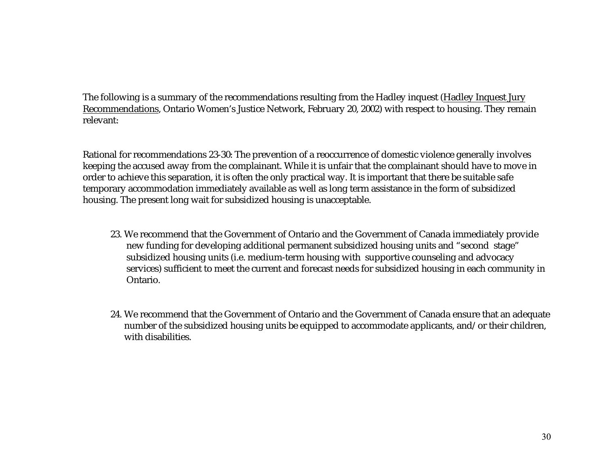The following is a summary of the recommendations resulting from the Hadley inquest (Hadley Inquest Jury Recommendations, Ontario Women's Justice Network, February 20, 2002) with respect to housing. They remain relevant:

Rational for recommendations 23-30: The prevention of a reoccurrence of domestic violence generally involves keeping the accused away from the complainant. While it is unfair that the complainant should have to move in order to achieve this separation, it is often the only practical way. It is important that there be suitable safe temporary accommodation immediately available as well as long term assistance in the form of subsidized housing. The present long wait for subsidized housing is unacceptable.

- 23. We recommend that the Government of Ontario and the Government of Canada immediately provide new funding for developing additional permanent subsidized housing units and "second stage" subsidized housing units (i.e. medium-term housing with supportive counseling and advocacy services) sufficient to meet the current and forecast needs for subsidized housing in each community in Ontario.
- 24. We recommend that the Government of Ontario and the Government of Canada ensure that an adequate number of the subsidized housing units be equipped to accommodate applicants, and/or their children, with disabilities.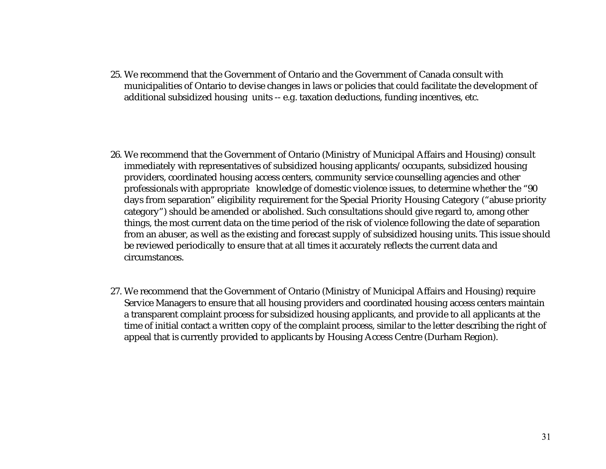25. We recommend that the Government of Ontario and the Government of Canada consult withmunicipalities of Ontario to devise changes in laws or policies that could facilitate the development of additional subsidized housing units -- e.g. taxation deductions, funding incentives, etc.

- 26. We recommend that the Government of Ontario (Ministry of Municipal Affairs and Housing) consult immediately with representatives of subsidized housing applicants/occupants, subsidized housing providers, coordinated housing access centers, community service counselling agencies and other professionals with appropriate knowledge of domestic violence issues, to determine whether the "90 days from separation" eligibility requirement for the Special Priority Housing Category ("abuse priority category") should be amended or abolished. Such consultations should give regard to, among other things, the most current data on the time period of the risk of violence following the date of separation from an abuser, as well as the existing and forecast supply of subsidized housing units. This issue should be reviewed periodically to ensure that at all times it accurately reflects the current data and circumstances.
- 27. We recommend that the Government of Ontario (Ministry of Municipal Affairs and Housing) require Service Managers to ensure that all housing providers and coordinated housing access centers maintain a transparent complaint process for subsidized housing applicants, and provide to all applicants at the time of initial contact a written copy of the complaint process, similar to the letter describing the right of appeal that is currently provided to applicants by Housing Access Centre (Durham Region).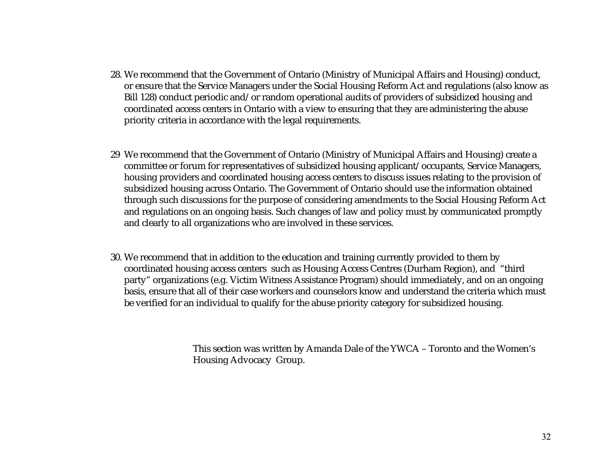- 28. We recommend that the Government of Ontario (Ministry of Municipal Affairs and Housing) conduct, or ensure that the Service Managers under the Social Housing Reform Act and regulations (also know as Bill 128) conduct periodic and/or random operational audits of providers of subsidized housing and coordinated access centers in Ontario with a view to ensuring that they are administering the abuse priority criteria in accordance with the legal requirements.
- 29 We recommend that the Government of Ontario (Ministry of Municipal Affairs and Housing) create a committee or forum for representatives of subsidized housing applicant/occupants, Service Managers, housing providers and coordinated housing access centers to discuss issues relating to the provision of subsidized housing across Ontario. The Government of Ontario should use the information obtained through such discussions for the purpose of considering amendments to the Social Housing Reform Act and regulations on an ongoing basis. Such changes of law and policy must by communicated promptly and clearly to all organizations who are involved in these services.
- 30. We recommend that in addition to the education and training currently provided to them by coordinated housing access centers such as Housing Access Centres (Durham Region), and "third party" organizations (e.g. Victim Witness Assistance Program) should immediately, and on an ongoing basis, ensure that all of their case workers and counselors know and understand the criteria which must be verified for an individual to qualify for the abuse priority category for subsidized housing.

This section was written by Amanda Dale of the YWCA – Toronto and the Women's Housing Advocacy Group.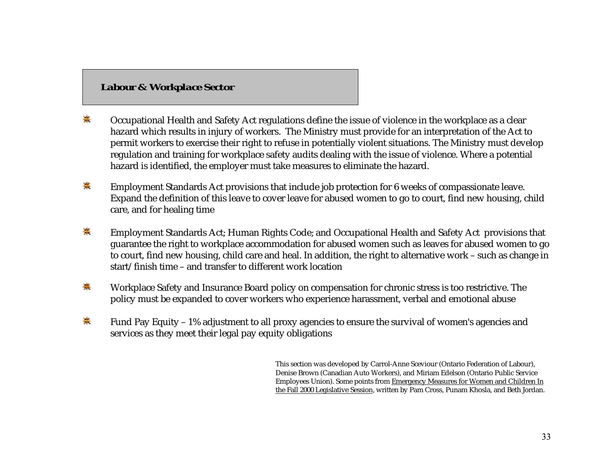## *Labour & Workplace Sector*

- 套 Occupational Health and Safety Act regulations define the issue of violence in the workplace as a clear hazard which results in injury of workers. The Ministry must provide for an interpretation of the Act to permit workers to exercise their right to refuse in potentially violent situations. The Ministry must develop regulation and training for workplace safety audits dealing with the issue of violence. Where a potential hazard is identified, the employer must take measures to eliminate the hazard.
- ♣ Employment Standards Act provisions that include job protection for 6 weeks of compassionate leave. Expand the definition of this leave to cover leave for abused women to go to court, find new housing, child care, and for healing time
- $\clubsuit$ Employment Standards Act; Human Rights Code; and Occupational Health and Safety Act provisions that guarantee the right to workplace accommodation for abused women such as leaves for abused women to go to court, find new housing, child care and heal. In addition, the right to alternative work – such as change in start/finish time – and transfer to different work location
- 寨 Workplace Safety and Insurance Board policy on compensation for chronic stress is too restrictive. The policy must be expanded to cover workers who experience harassment, verbal and emotional abuse
- ☀ Fund Pay Equity – 1% adjustment to all proxy agencies to ensure the survival of women's agencies and services as they meet their legal pay equity obligations

This section was developed by Carrol-Anne Sceviour (Ontario Federation of Labour), Denise Brown (Canadian Auto Workers), and Miriam Edelson (Ontario Public Service Employees Union). Some points from Emergency Measures for Women and Children In the Fall 2000 Legislative Session, written by Pam Cross, Punam Khosla, and Beth Jordan.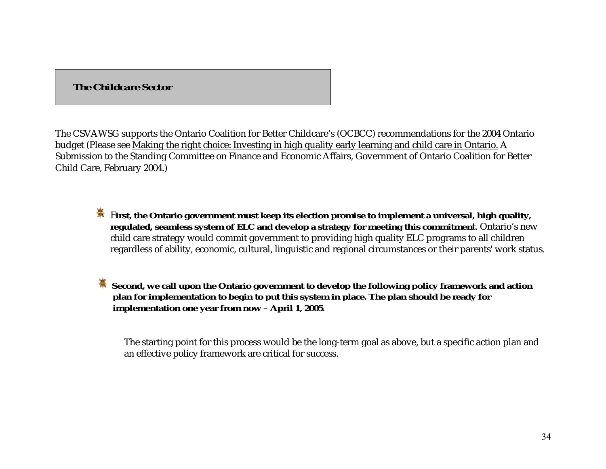# *The Childcare Sector*

The CSVAWSG supports the Ontario Coalition for Better Childcare's (OCBCC) recommendations for the 2004 Ontario budget (Please see Making the right choice: Investing in high quality early learning and child care in Ontario. A Submission to the Standing Committee on Finance and Economic Affairs, Government of Ontario Coalition for Better Child Care, February 2004.)

- **First, the Ontario government must keep its election promise to implement a universal, high quality, regulated, seamless system of ELC and develop a strategy for meeting this commitmen**t. Ontario's new child care strategy would commit government to providing high quality ELC programs to all children regardless of ability, economic, cultural, linguistic and regional circumstances or their parents' work status.
- **Second, we call upon the Ontario government to develop the following policy framework and action plan for implementation to begin to put this system in place. The plan should be ready for implementation one year from now – April 1, 2005**.

The starting point for this process would be the long-term goal as above, but a specific action plan and an effective policy framework are critical for success.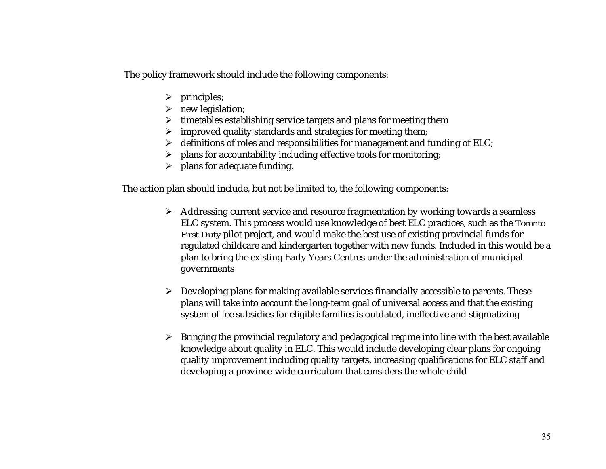The policy framework should include the following components:

- $\triangleright$  principles;
- new legislation;
- $\triangleright$  timetables establishing service targets and plans for meeting them
- $\triangleright$  improved quality standards and strategies for meeting them;
- $\triangleright$   $\,$  definitions of roles and responsibilities for management and funding of ELC;
- $\triangleright$  plans for accountability including effective tools for monitoring;
- $\triangleright$  plans for adequate funding.

The action plan should include, but not be limited to, the following components:

- Addressing current service and resource fragmentation by working towards a seamless ELC system. This process would use knowledge of best ELC practices, such as the *Toronto First Duty* pilot project, and would make the best use of existing provincial funds for regulated childcare and kindergarten together with new funds. Included in this would be a plan to bring the existing Early Years Centres under the administration of municipal governments
- $\triangleright$  Developing plans for making available services financially accessible to parents. These plans will take into account the long-term goal of universal access and that the existing system of fee subsidies for eligible families is outdated, ineffective and stigmatizing
- $\triangleright$   $\;$  Bringing the provincial regulatory and pedagogical regime into line with the best available knowledge about quality in ELC. This would include developing clear plans for ongoing quality improvement including quality targets, increasing qualifications for ELC staff and developing a province-wide curriculum that considers the whole child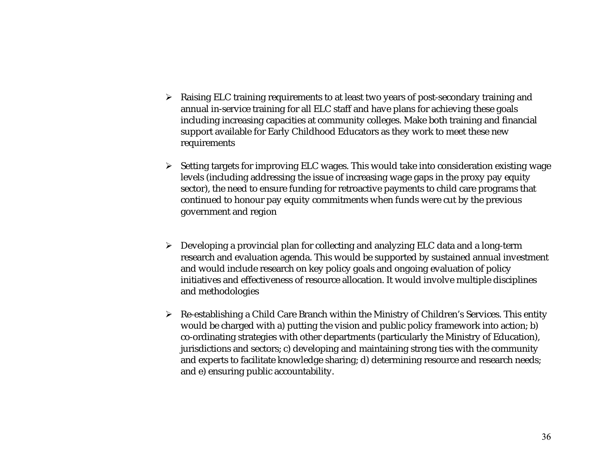- $\triangleright$   $\;$  Raising ELC training requirements to at least two years of post-secondary training and annual in-service training for all ELC staff and have plans for achieving these goals including increasing capacities at community colleges. Make both training and financial support available for Early Childhood Educators as they work to meet these new requirements
- $\triangleright$   $\,$  Setting targets for improving ELC wages. This would take into consideration existing wage levels (including addressing the issue of increasing wage gaps in the proxy pay equity sector), the need to ensure funding for retroactive payments to child care programs that continued to honour pay equity commitments when funds were cut by the previous government and region
- $\triangleright$   $\;$  Developing a provincial plan for collecting and analyzing ELC data and a long-term research and evaluation agenda. This would be supported by sustained annual investment and would include research on key policy goals and ongoing evaluation of policy initiatives and effectiveness of resource allocation. It would involve multiple disciplines and methodologies
- Re-establishing a Child Care Branch within the Ministry of Children's Services. This entity would be charged with a) putting the vision and public policy framework into action; b) co-ordinating strategies with other departments (particularly the Ministry of Education), jurisdictions and sectors; c) developing and maintaining strong ties with the community and experts to facilitate knowledge sharing; d) determining resource and research needs; and e) ensuring public accountability.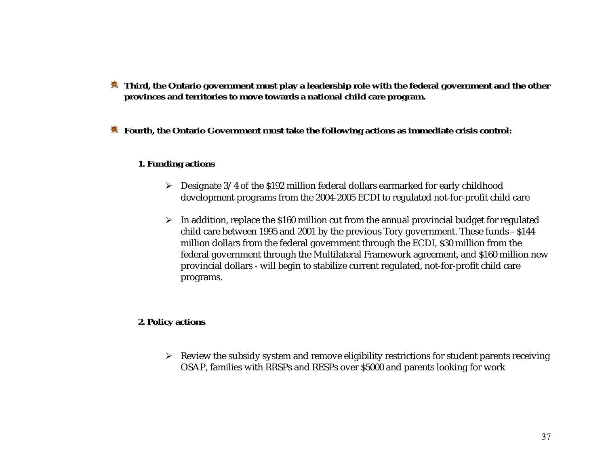- $\dagger$  **Third, the Ontario government must play a leadership role with the federal government and the other provinces and territories to move towards a national child care program.**
- **Fourth, the Ontario Government must take the following actions as immediate crisis control:**

#### **1. Funding actions**

- Designate 3/4 of the \$192 million federal dollars earmarked for early childhood development programs from the 2004-2005 ECDI to regulated not-for-profit child care
- $\blacktriangleright$   $\;$  In addition, replace the \$160 million cut from the annual provincial budget for regulated child care between 1995 and 2001 by the previous Tory government. These funds - \$144 million dollars from the federal government through the ECDI, \$30 million from the federal government through the Multilateral Framework agreement, and \$160 million new provincial dollars - will begin to stabilize current regulated, not-for-profit child care programs.

#### **2. Policy actions**

 Review the subsidy system and remove eligibility restrictions for student parents receiving OSAP, families with RRSPs and RESPs over \$5000 and parents looking for work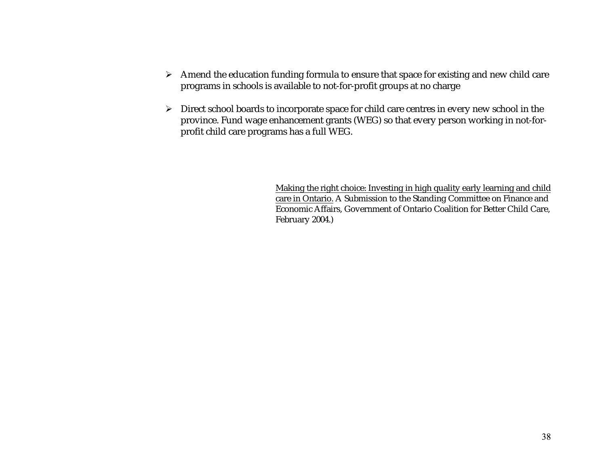- $\triangleright$  Amend the education funding formula to ensure that space for existing and new child care programs in schools is available to not-for-profit groups at no charge
- $\triangleright$   $\;$  Direct school boards to incorporate space for child care centres in every new school in the province. Fund wage enhancement grants (WEG) so that every person working in not-forprofit child care programs has a full WEG.

Making the right choice: Investing in high quality early learning and child care in Ontario. A Submission to the Standing Committee on Finance and Economic Affairs, Government of Ontario Coalition for Better Child Care, February 2004.)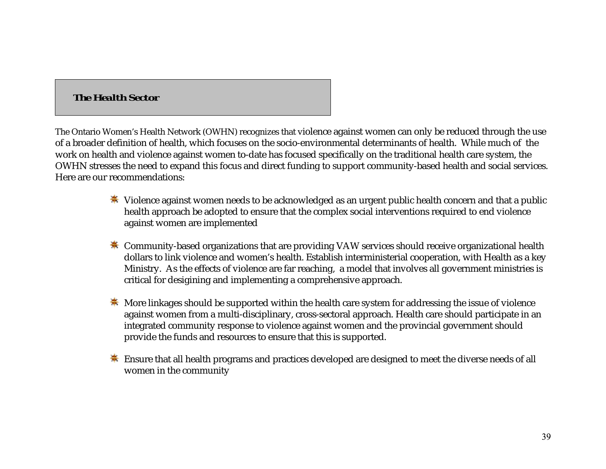# *The Health Sector*

The Ontario Women's Health Network (OWHN) recognizes that violence against women can only be reduced through the use of a broader definition of health, which focuses on the socio-environmental determinants of health. While much of the work on health and violence against women to-date has focused specifically on the traditional health care system, the OWHN stresses the need to expand this focus and direct funding to support community-based health and social services. Here are our recommendations:

- Violence against women needs to be acknowledged as an urgent public health concern and that a public health approach be adopted to ensure that the complex social interventions required to end violence against women are implemented
- $*$  Community-based organizations that are providing VAW services should receive organizational health dollars to link violence and women's health. Establish interministerial cooperation, with Health as a key Ministry. As the effects of violence are far reaching, a model that involves all government ministries is critical for desigining and implementing a comprehensive approach.
- $\ddot{\textbf{*}}$  More linkages should be supported within the health care system for addressing the issue of violence against women from a multi-disciplinary, cross-sectoral approach. Health care should participate in an integrated community response to violence against women and the provincial government should provide the funds and resources to ensure that this is supported.
- $\ddot{\textbf{*}}$  Ensure that all health programs and practices developed are designed to meet the diverse needs of all women in the community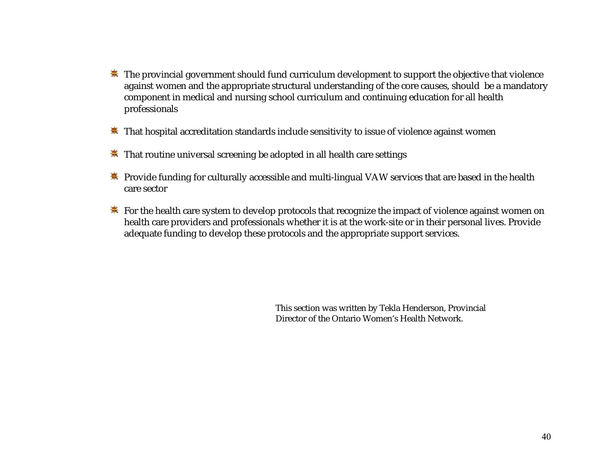- $\ddot{\textbf{*}}$  The provincial government should fund curriculum development to support the objective that violence against women and the appropriate structural understanding of the core causes, should be a mandatory component in medical and nursing school curriculum and continuing education for all health professionals
- **That hospital accreditation standards include sensitivity to issue of violence against women**
- **\*** That routine universal screening be adopted in all health care settings
- **\*** Provide funding for culturally accessible and multi-lingual VAW services that are based in the health care sector
- For the health care system to develop protocols that recognize the impact of violence against women on health care providers and professionals whether it is at the work-site or in their personal lives. Provide adequate funding to develop these protocols and the appropriate support services.

This section was written by Tekla Henderson, Provincial Director of the Ontario Women's Health Network.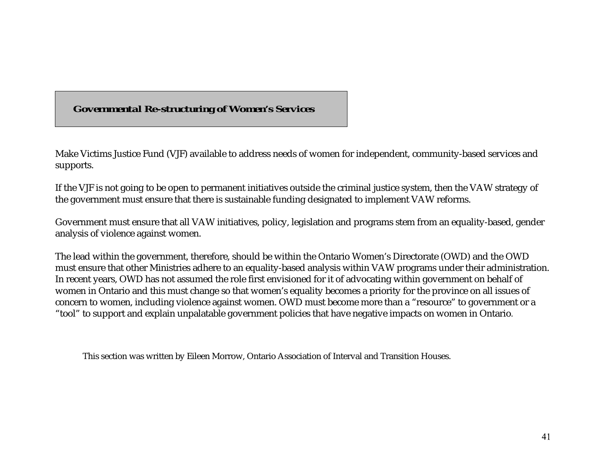# *Governmental Re-structuring of Women's Services*

Make Victims Justice Fund (VJF) available to address needs of women for independent, community-based services and supports.

If the VJF is not going to be open to permanent initiatives outside the criminal justice system, then the VAW strategy of the government must ensure that there is sustainable funding designated to implement VAW reforms.

Government must ensure that all VAW initiatives, policy, legislation and programs stem from an equality-based, gender analysis of violence against women.

The lead within the government, therefore, should be within the Ontario Women's Directorate (OWD) and the OWD must ensure that other Ministries adhere to an equality-based analysis within VAW programs under their administration. In recent years, OWD has not assumed the role first envisioned for it of advocating within government on behalf of women in Ontario and this must change so that women's equality becomes a priority for the province on all issues of concern to women, including violence against women. OWD must become more than a "resource" to government or a "tool" to support and explain unpalatable government policies that have negative impacts on women in Ontario.

This section was written by Eileen Morrow, Ontario Association of Interval and Transition Houses.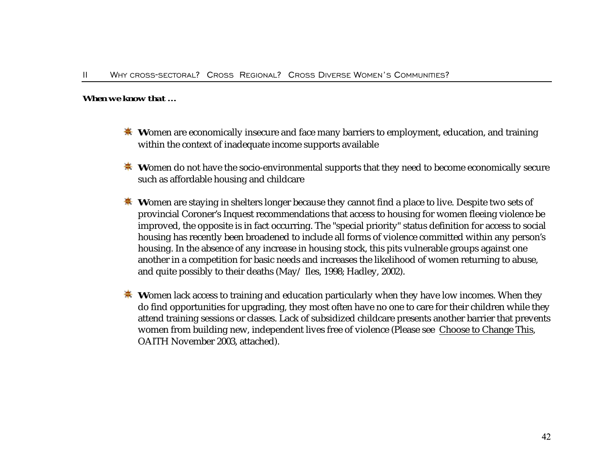#### *When we know that …*

- **W**omen are economically insecure and face many barriers to employment, education, and training within the context of inadequate income supports available
- **W**omen do not have the socio-environmental supports that they need to become economically secure such as affordable housing and childcare
- **Women are staying in shelters longer because they cannot find a place to live. Despite two sets of** provincial Coroner's Inquest recommendations that access to housing for women fleeing violence be improved, the opposite is in fact occurring. The "special priority" status definition for access to social housing has recently been broadened to include all forms of violence committed within any person's housing. In the absence of any increase in housing stock, this pits vulnerable groups against one another in a competition for basic needs and increases the likelihood of women returning to abuse, and quite possibly to their deaths (May/ Iles, 1998; Hadley, 2002).
- **Women lack access to training and education particularly when they have low incomes. When they** do find opportunities for upgrading, they most often have no one to care for their children while they attend training sessions or classes. Lack of subsidized childcare presents another barrier that prevents women from building new, independent lives free of violence (Please see Choose to Change This, OAITH November 2003, attached).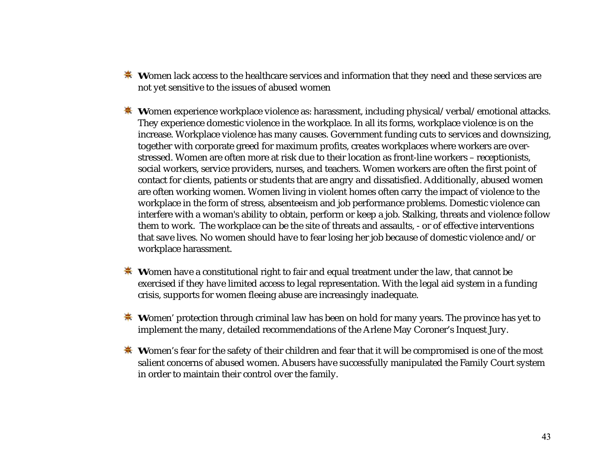- **Women lack access to the healthcare services and information that they need and these services are** not yet sensitive to the issues of abused women
- **Women experience workplace violence as: harassment, including physical/verbal/emotional attacks.** They experience domestic violence in the workplace. In all its forms, workplace violence is on the increase. Workplace violence has many causes. Government funding cuts to services and downsizing, together with corporate greed for maximum profits, creates workplaces where workers are overstressed. Women are often more at risk due to their location as front-line workers – receptionists, social workers, service providers, nurses, and teachers. Women workers are often the first point of contact for clients, patients or students that are angry and dissatisfied. Additionally, abused women are often working women. Women living in violent homes often carry the impact of violence to the workplace in the form of stress, absenteeism and job performance problems. Domestic violence can interfere with a woman's ability to obtain, perform or keep a job. Stalking, threats and violence follow them to work. The workplace can be the site of threats and assaults, - or of effective interventions that save lives. No women should have to fear losing her job because of domestic violence and/or workplace harassment.
- **W**omen have a constitutional right to fair and equal treatment under the law, that cannot be exercised if they have limited access to legal representation. With the legal aid system in a funding crisis, supports for women fleeing abuse are increasingly inadequate.
- **W**omen' protection through criminal law has been on hold for many years. The province has yet to implement the many, detailed recommendations of the Arlene May Coroner's Inquest Jury.
- **Women's fear for the safety of their children and fear that it will be compromised is one of the most** salient concerns of abused women. Abusers have successfully manipulated the Family Court system in order to maintain their control over the family.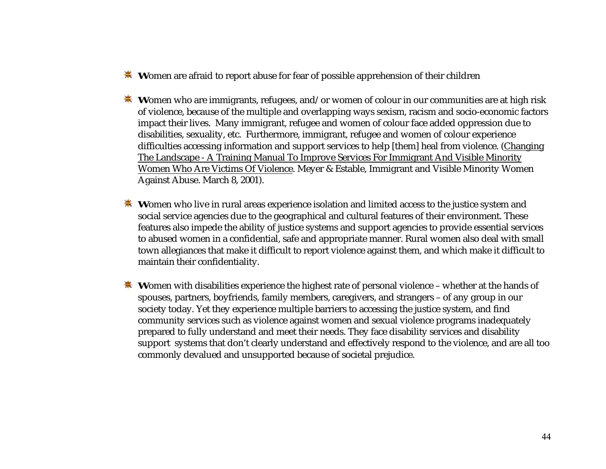- **W**omen are afraid to report abuse for fear of possible apprehension of their children
- **W**omen who are immigrants, refugees, and/or women of colour in our communities are at high risk of violence, because of the multiple and overlapping ways sexism, racism and socio-economic factors impact their lives. Many immigrant, refugee and women of colour face added oppression due to disabilities, sexuality, etc. Furthermore, immigrant, refugee and women of colour experience difficulties accessing information and support services to help [them] heal from violence. (Changing The Landscape - A Training Manual To Improve Services For Immigrant And Visible Minority Women Who Are Victims Of Violence. Meyer & Estable, Immigrant and Visible Minority Women Against Abuse. March 8, 2001).
- **W**omen who live in rural areas experience isolation and limited access to the justice system and social service agencies due to the geographical and cultural features of their environment. These features also impede the ability of justice systems and support agencies to provide essential services to abused women in a confidential, safe and appropriate manner. Rural women also deal with small town allegiances that make it difficult to report violence against them, and which make it difficult to maintain their confidentiality.
- **Women with disabilities experience the highest rate of personal violence whether at the hands of** spouses, partners, boyfriends, family members, caregivers, and strangers – of any group in our society today. Yet they experience multiple barriers to accessing the justice system, and find community services such as violence against women and sexual violence programs inadequately prepared to fully understand and meet their needs. They face disability services and disability support systems that don't clearly understand and effectively respond to the violence, and are all too commonly devalued and unsupported because of societal prejudice.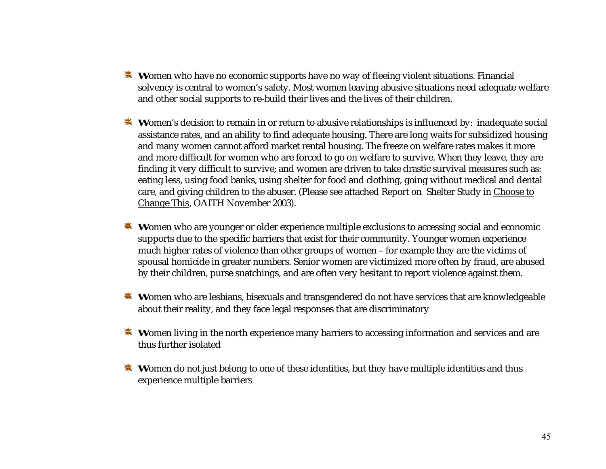- **W**omen who have no economic supports have no way of fleeing violent situations. Financial solvency is central to women's safety. Most women leaving abusive situations need adequate welfare and other social supports to re-build their lives and the lives of their children.
- **W**omen's decision to remain in or return to abusive relationships is influenced by: inadequate social assistance rates, and an ability to find adequate housing. There are long waits for subsidized housing and many women cannot afford market rental housing. The freeze on welfare rates makes it more and more difficult for women who are forced to go on welfare to survive. When they leave, they are finding it very difficult to survive; and women are driven to take drastic survival measures such as: eating less, using food banks, using shelter for food and clothing, going without medical and dental care, and giving children to the abuser. (Please see attached Report on Shelter Study in Choose to Change This, OAITH November 2003).
- **\*** Women who are younger or older experience multiple exclusions to accessing social and economic supports due to the specific barriers that exist for their community. Younger women experience much higher rates of violence than other groups of women – for example they are the victims of spousal homicide in greater numbers. Senior women are victimized more often by fraud, are abused by their children, purse snatchings, and are often very hesitant to report violence against them.
- **Women who are lesbians, bisexuals and transgendered do not have services that are knowledgeable** about their reality, and they face legal responses that are discriminatory
- **Women living in the north experience many barriers to accessing information and services and are** thus further isolated
- **W**omen do not just belong to one of these identities, but they have multiple identities and thus experience multiple barriers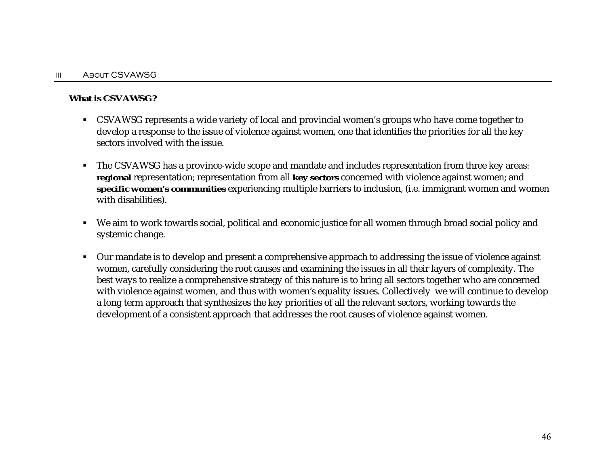#### **What is CSVAWSG?**

- CSVAWSG represents a wide variety of local and provincial women's groups who have come together to develop a response to the issue of violence against women, one that identifies the priorities for all the key sectors involved with the issue.
- The CSVAWSG has a province-wide scope and mandate and includes representation from three key areas: **regional** representation; representation from all **key sectors** concerned with violence against women; and **specific women's communities** experiencing multiple barriers to inclusion, (i.e. immigrant women and women with disabilities).
- We aim to work towards social, political and economic justice for all women through broad social policy and systemic change.
- - Our mandate is to develop and present a comprehensive approach to addressing the issue of violence against women, carefully considering the root causes and examining the issues in all their layers of complexity. The best ways to realize a comprehensive strategy of this nature is to bring all sectors together who are concerned with violence against women, and thus with women's equality issues. Collectively we will continue to develop a long term approach that synthesizes the key priorities of all the relevant sectors, working towards the development of a consistent approach that addresses the root causes of violence against women.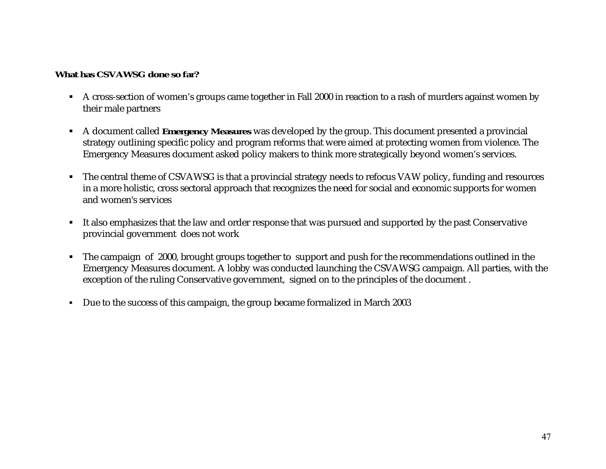### **What has CSVAWSG done so far?**

- A cross-section of women's groups came together in Fall 2000 in reaction to a rash of murders against women by their male partners
- A document called **Emergency Measures** was developed by the group. This document presented a provincial strategy outlining specific policy and program reforms that were aimed at protecting women from violence. The Emergency Measures document asked policy makers to think more strategically beyond women's services.
- The central theme of CSVAWSG is that a provincial strategy needs to refocus VAW policy, funding and resources in a more holistic, cross sectoral approach that recognizes the need for social and economic supports for women and women's services
- It also emphasizes that the law and order response that was pursued and supported by the past Conservative provincial government does not work
- The campaign of 2000, brought groups together to support and push for the recommendations outlined in the Emergency Measures document. A lobby was conducted launching the CSVAWSG campaign. All parties, with the exception of the ruling Conservative government, signed on to the principles of the document .
- -Due to the success of this campaign, the group became formalized in March 2003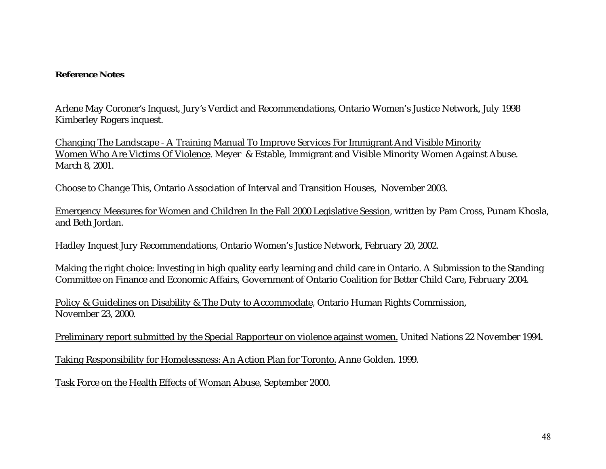#### **Reference Notes**

Arlene May Coroner's Inquest, Jury's Verdict and Recommendations, Ontario Women's Justice Network, July 1998 Kimberley Rogers inquest.

Changing The Landscape - A Training Manual To Improve Services For Immigrant And Visible Minority Women Who Are Victims Of Violence. Meyer & Estable, Immigrant and Visible Minority Women Against Abuse. March 8, 2001.

Choose to Change This, Ontario Association of Interval and Transition Houses, November 2003.

Emergency Measures for Women and Children In the Fall 2000 Legislative Session, written by Pam Cross, Punam Khosla, and Beth Jordan.

Hadley Inquest Jury Recommendations, Ontario Women's Justice Network, February 20, 2002.

Making the right choice: Investing in high quality early learning and child care in Ontario. A Submission to the Standing Committee on Finance and Economic Affairs, Government of Ontario Coalition for Better Child Care, February 2004.

Policy & Guidelines on Disability & The Duty to Accommodate, Ontario Human Rights Commission, November 23, 2000.

Preliminary report submitted by the Special Rapporteur on violence against women. United Nations 22 November 1994.

Taking Responsibility for Homelessness: An Action Plan for Toronto. Anne Golden. 1999.

Task Force on the Health Effects of Woman Abuse, September 2000.